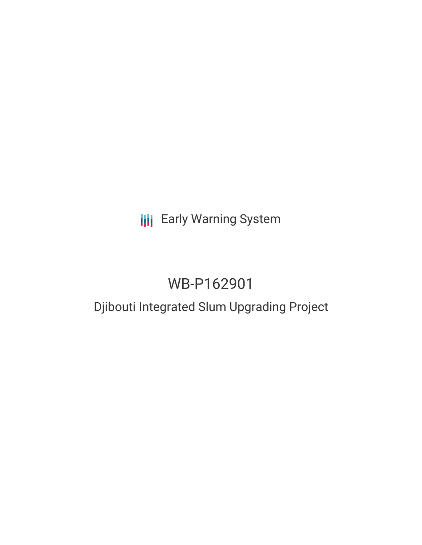# **III** Early Warning System

# WB-P162901

# Djibouti Integrated Slum Upgrading Project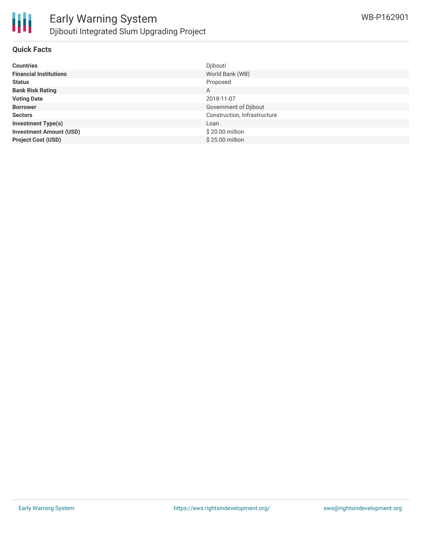

### **Quick Facts**

| <b>Countries</b>               | Djibouti                     |
|--------------------------------|------------------------------|
| <b>Financial Institutions</b>  | World Bank (WB)              |
| <b>Status</b>                  | Proposed                     |
| <b>Bank Risk Rating</b>        | A                            |
| <b>Voting Date</b>             | 2018-11-07                   |
| <b>Borrower</b>                | Government of Djibout        |
| <b>Sectors</b>                 | Construction, Infrastructure |
| <b>Investment Type(s)</b>      | Loan                         |
| <b>Investment Amount (USD)</b> | \$20.00 million              |
| <b>Project Cost (USD)</b>      | \$25.00 million              |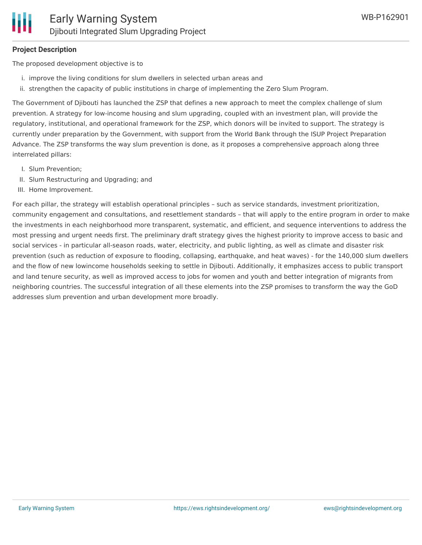## **Project Description**

The proposed development objective is to

- i. improve the living conditions for slum dwellers in selected urban areas and
- ii. strengthen the capacity of public institutions in charge of implementing the Zero Slum Program.

The Government of Djibouti has launched the ZSP that defines a new approach to meet the complex challenge of slum prevention. A strategy for low-income housing and slum upgrading, coupled with an investment plan, will provide the regulatory, institutional, and operational framework for the ZSP, which donors will be invited to support. The strategy is currently under preparation by the Government, with support from the World Bank through the ISUP Project Preparation Advance. The ZSP transforms the way slum prevention is done, as it proposes a comprehensive approach along three interrelated pillars:

- I. Slum Prevention;
- II. Slum Restructuring and Upgrading; and
- III. Home Improvement.

For each pillar, the strategy will establish operational principles – such as service standards, investment prioritization, community engagement and consultations, and resettlement standards – that will apply to the entire program in order to make the investments in each neighborhood more transparent, systematic, and efficient, and sequence interventions to address the most pressing and urgent needs first. The preliminary draft strategy gives the highest priority to improve access to basic and social services - in particular all-season roads, water, electricity, and public lighting, as well as climate and disaster risk prevention (such as reduction of exposure to flooding, collapsing, earthquake, and heat waves) - for the 140,000 slum dwellers and the flow of new lowincome households seeking to settle in Djibouti. Additionally, it emphasizes access to public transport and land tenure security, as well as improved access to jobs for women and youth and better integration of migrants from neighboring countries. The successful integration of all these elements into the ZSP promises to transform the way the GoD addresses slum prevention and urban development more broadly.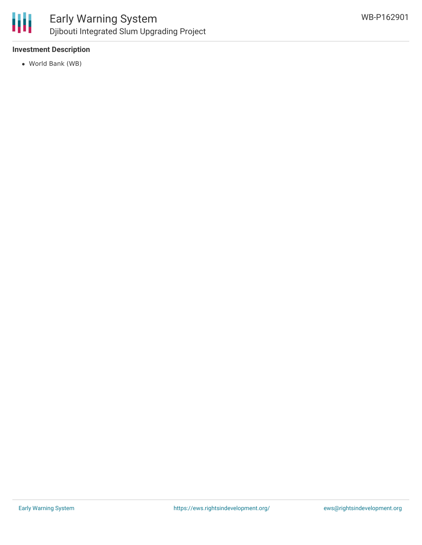

# Early Warning System Djibouti Integrated Slum Upgrading Project

## **Investment Description**

World Bank (WB)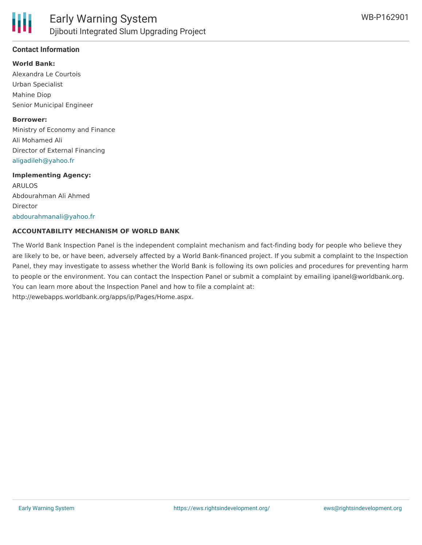

# **Contact Information**

#### **World Bank:**

Alexandra Le Courtois Urban Specialist Mahine Diop Senior Municipal Engineer

#### **Borrower:**

Ministry of Economy and Finance Ali Mohamed Ali Director of External Financing [aligadileh@yahoo.fr](mailto:aligadileh@yahoo.fr)

#### **Implementing Agency:**

ARULOS Abdourahman Ali Ahmed Director [abdourahmanali@yahoo.fr](mailto:abdourahmanali@yahoo.fr)

### **ACCOUNTABILITY MECHANISM OF WORLD BANK**

The World Bank Inspection Panel is the independent complaint mechanism and fact-finding body for people who believe they are likely to be, or have been, adversely affected by a World Bank-financed project. If you submit a complaint to the Inspection Panel, they may investigate to assess whether the World Bank is following its own policies and procedures for preventing harm to people or the environment. You can contact the Inspection Panel or submit a complaint by emailing ipanel@worldbank.org. You can learn more about the Inspection Panel and how to file a complaint at: http://ewebapps.worldbank.org/apps/ip/Pages/Home.aspx.